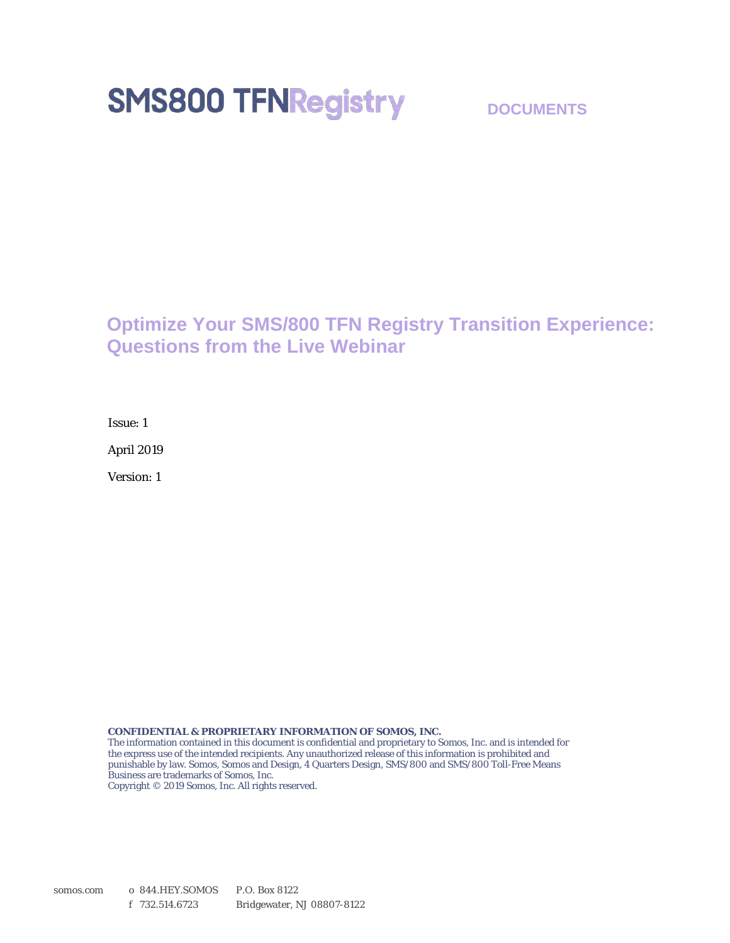# **SMS800 TFNRegistry**

#### **DOCUMENTS**

#### **Optimize Your SMS/800 TFN Registry Transition Experience: Questions from the Live Webinar**

Issue: 1

April 2019

Version: 1

**CONFIDENTIAL & PROPRIETARY INFORMATION OF SOMOS, INC.**

The information contained in this document is confidential and proprietary to Somos, Inc. and is intended for the express use of the intended recipients. Any unauthorized release of this information is prohibited and punishable by law. Somos, Somos and Design, 4 Quarters Design, SMS/800 and SMS/800 Toll-Free Means Business are trademarks of Somos, Inc.

Copyright © 2019 Somos, Inc. All rights reserved.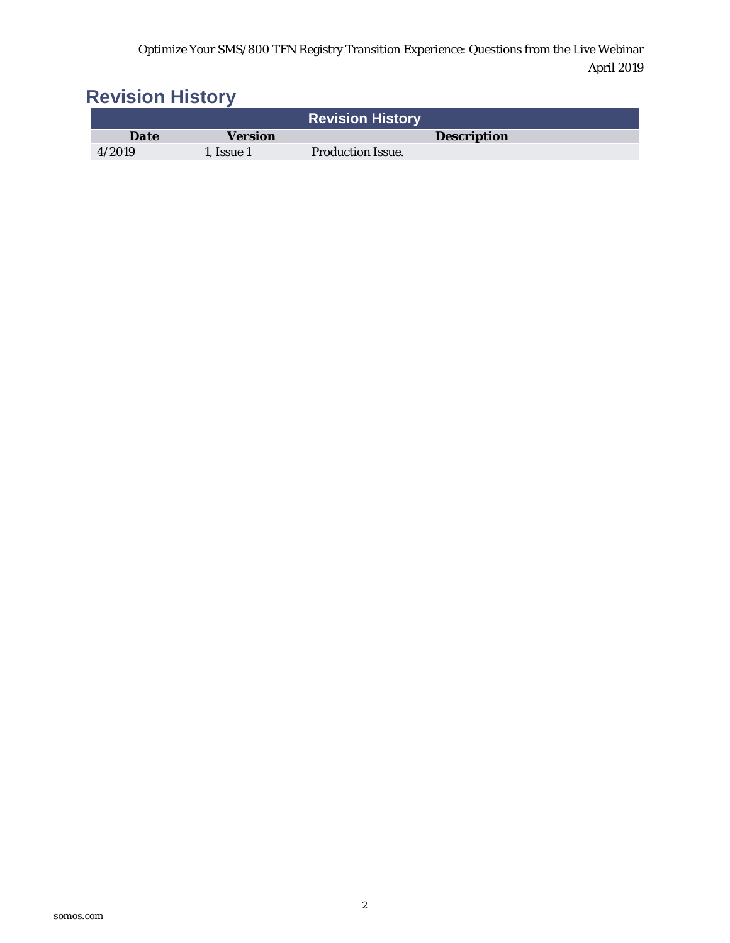# **Revision History**

|             |                | <b>Revision History</b>  |
|-------------|----------------|--------------------------|
| <b>Date</b> | <b>Version</b> | <b>Description</b>       |
| 4/2019      | 1. Issue 1     | <b>Production Issue.</b> |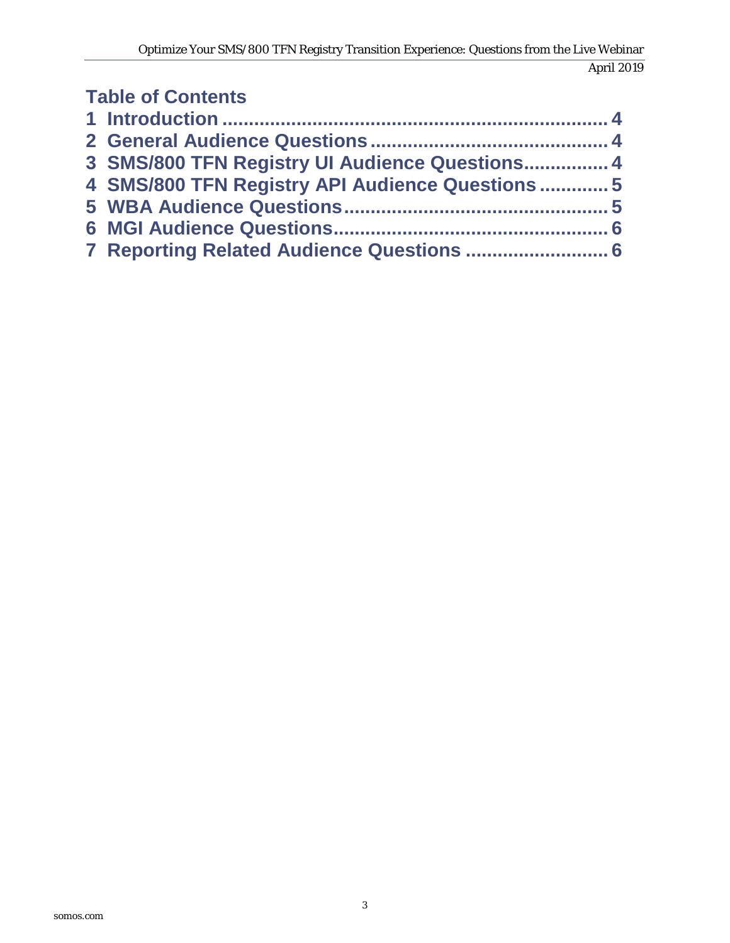#### **Table of Contents Introduction [......................................................................... 4](#page-3-0) [General Audience Questions ............................................. 4](#page-3-1) [SMS/800 TFN Registry UI Audience Questions ................ 4](#page-3-2) [SMS/800 TFN Registry API Audience Questions ............. 5](#page-4-0) [WBA Audience Questions.................................................. 5](#page-4-1) [MGI Audience Questions.................................................... 6](#page-5-0) [Reporting Related Audience Questions ........................... 6](#page-5-1)**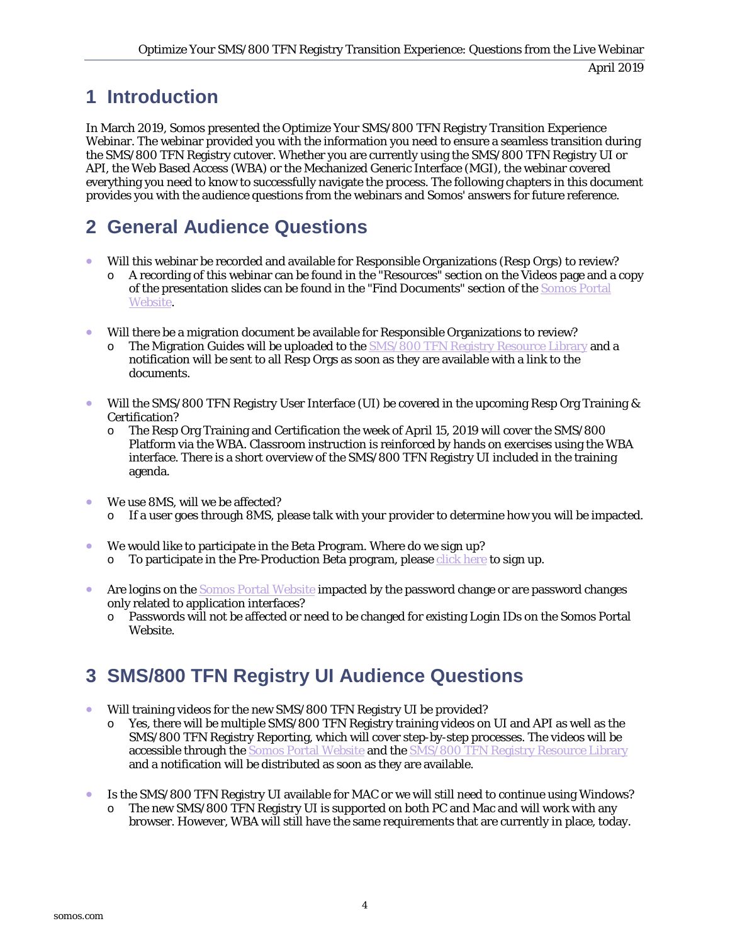### <span id="page-3-0"></span>**1 Introduction**

In March 2019, Somos presented the Optimize Your SMS/800 TFN Registry Transition Experience Webinar. The webinar provided you with the information you need to ensure a seamless transition during the SMS/800 TFN Registry cutover. Whether you are currently using the SMS/800 TFN Registry UI or API, the Web Based Access (WBA) or the Mechanized Generic Interface (MGI), the webinar covered everything you need to know to successfully navigate the process. The following chapters in this document provides you with the audience questions from the webinars and Somos' answers for future reference.

# <span id="page-3-1"></span>**2 General Audience Questions**

- Will this webinar be recorded and available for Responsible Organizations (Resp Orgs) to review?
	- A recording of this webinar can be found in the "Resources" section on the Videos page and a copy of the presentation slides can be found in the "Find Documents" section of th[e Somos Portal](http://portal.somos.com/)  [Website.](http://portal.somos.com/)
- Will there be a migration document be available for Responsible Organizations to review?
	- o The Migration Guides will be uploaded to the [SMS/800 TFN Registry](http://info.somos.com/tfnregistryresourcelibrary) Resource Library and a notification will be sent to all Resp Orgs as soon as they are available with a link to the documents.
- Will the SMS/800 TFN Registry User Interface (UI) be covered in the upcoming Resp Org Training & Certification?
	- o The Resp Org Training and Certification the week of April 15, 2019 will cover the SMS/800 Platform via the WBA. Classroom instruction is reinforced by hands on exercises using the WBA interface. There is a short overview of the SMS/800 TFN Registry UI included in the training agenda.
- We use 8MS, will we be affected?
	- o If a user goes through 8MS, please talk with your provider to determine how you will be impacted.
- We would like to participate in the Beta Program. Where do we sign up?
	- $\circ$  To participate in the Pre-Production Beta program, please click here to sign up.
- Are logins on the [Somos Portal Website](http://portal.somos.com/) impacted by the password change or are password changes only related to application interfaces?
	- o Passwords will not be affected or need to be changed for existing Login IDs on the Somos Portal Website.

# <span id="page-3-2"></span>**3 SMS/800 TFN Registry UI Audience Questions**

- Will training videos for the new SMS/800 TFN Registry UI be provided?
	- o Yes, there will be multiple SMS/800 TFN Registry training videos on UI and API as well as the SMS/800 TFN Registry Reporting, which will cover step-by-step processes. The videos will be **accessible through th[e Somos Portal Website](http://portal.somos.com/) and th[e SMS/800 TFN Registry](http://info.somos.com/tfnregistryresourcelibrary) Resource Library** and a notification will be distributed as soon as they are available.
- Is the SMS/800 TFN Registry UI available for MAC or we will still need to continue using Windows?
	- o The new SMS/800 TFN Registry UI is supported on both PC and Mac and will work with any browser. However, WBA will still have the same requirements that are currently in place, today.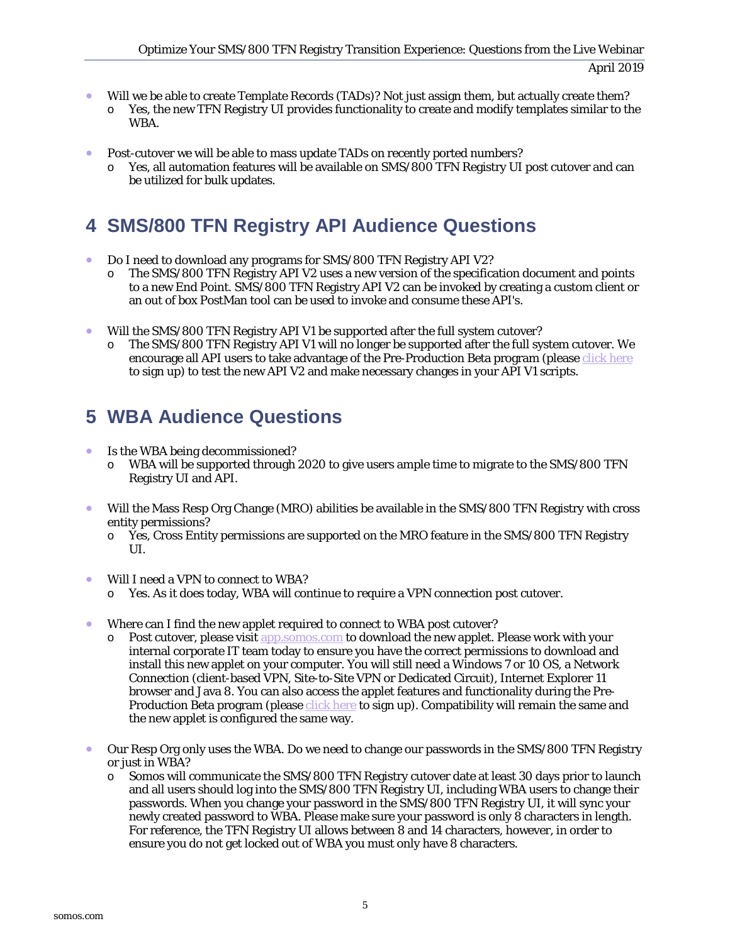- Will we be able to create Template Records (TADs)? Not just assign them, but actually create them? o Yes, the new TFN Registry UI provides functionality to create and modify templates similar to the WBA.
- Post-cutover we will be able to mass update TADs on recently ported numbers?
	- o Yes, all automation features will be available on SMS/800 TFN Registry UI post cutover and can be utilized for bulk updates.

# <span id="page-4-0"></span>**4 SMS/800 TFN Registry API Audience Questions**

- Do I need to download any programs for SMS/800 TFN Registry API V2?
	- $\circ$  The SMS/800 TFN Registry API V2 uses a new version of the specification document and points to a new End Point. SMS/800 TFN Registry API V2 can be invoked by creating a custom client or an out of box PostMan tool can be used to invoke and consume these API's.
- Will the SMS/800 TFN Registry API V1 be supported after the full system cutover?
	- The SMS/800 TFN Registry API V1 will no longer be supported after the full system cutover. We encourage all API users to take advantage of the Pre-Production Beta program (please click here to sign up) to test the new API V2 and make necessary changes in your API V1 scripts.

## <span id="page-4-1"></span>**5 WBA Audience Questions**

- Is the WBA being decommissioned?
	- o WBA will be supported through 2020 to give users ample time to migrate to the SMS/800 TFN Registry UI and API.
- Will the Mass Resp Org Change (MRO) abilities be available in the SMS/800 TFN Registry with cross entity permissions?
	- o Yes, Cross Entity permissions are supported on the MRO feature in the SMS/800 TFN Registry UI.
- Will I need a VPN to connect to WBA?
	- o Yes. As it does today, WBA will continue to require a VPN connection post cutover.
- Where can I find the new applet required to connect to WBA post cutover?
	- $\circ$  Post cutover, please visit [app.somos.com](http://app.somos.com/) to download the new applet. Please work with your internal corporate IT team today to ensure you have the correct permissions to download and install this new applet on your computer. You will still need a Windows 7 or 10 OS, a Network Connection (client-based VPN, Site-to-Site VPN or Dedicated Circuit), Internet Explorer 11 browser and Java 8. You can also access the applet features and functionality during the Pre-Production Beta program (please click here to sign up). Compatibility will remain the same and the new applet is configured the same way.
- Our Resp Org only uses the WBA. Do we need to change our passwords in the SMS/800 TFN Registry or just in WBA?
	- o Somos will communicate the SMS/800 TFN Registry cutover date at least 30 days prior to launch and all users should log into the SMS/800 TFN Registry UI, including WBA users to change their passwords. When you change your password in the SMS/800 TFN Registry UI, it will sync your newly created password to WBA. Please make sure your password is only 8 characters in length. For reference, the TFN Registry UI allows between 8 and 14 characters, however, in order to ensure you do not get locked out of WBA you must only have 8 characters.